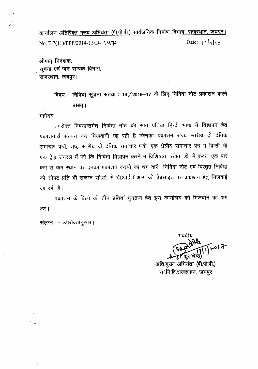कार्यालय अतिरिक्त मुख्य अभियंता (पी.पी.पी.) सार्वजनिक निर्माण विभाग, राजस्थान, जयपुर।

Date:  $| \eta |$ No. F.7(11)/PPP/2014-15/D- 1471

श्रीमान् निदेशक, सचना एवं जन सम्पर्क विभाग, राजस्थान, जयपुर।

> विषय :--निविदा सूचना संख्या : 14/2016-17 के लिए निविदा नोट प्रकाशन करने बाबत् ।

महोदय.

उपरोक्त विषयान्तर्गत निविदा नोट की सात प्रतियां हिन्दी भाषा में विज्ञापन हेत् प्रकाशनार्थ संलग्न कर भिजवायी जा रही है जिनका प्रकाशन राज्य स्तरीय दो दैनिक समाचार पत्रों, राष्ट्र स्तरीय दो दैनिक समाचार पत्रों, एक क्षेत्रीय समाचार पत्र व किसी भी एक ट्रेड जनरल में जो कि निविदा विज्ञापन करने में विशिष्टता रखता हो, में केवल एक बार कम से कम स्थान पर इनका प्रकाशन कराने का श्रम करें। निविदा नोट एवं विस्तृत निविदा की सोफ्ट प्रति भी संलग्न सी.डी. में डी.आई.पी.आर. की वेबसाइट पर प्रकाशन हेतु भिजवाई जा रही है।

्र प्रकाशन के बिलों की तीन प्रतियां भुगतान हेतु इस कार्यालय को भिजवाने का श्रम करें ।

संलग्न :- उपरोक्तानुसार।

अति.मुख्य अभियंता (पी.पी.पी.) सा.नि.वि.राजस्थान, जयपुर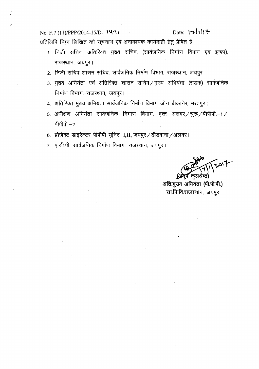No. F.7 (11)/PPP/2014-15/D- **\'471** Date:  $|71|$ प्रतिलिपि निम्न लिखित को सूचनार्थ एवं अनावश्यक कार्यवाही हेतु प्रेषित है:--

- 1. निजी सचिव, अतिरिक्त मुख्य सचिव, (सार्वजनिक निर्माण विभाग एवं इन्फ्रा), राजस्थान, जयपुर।
- 2. निजी सचिव शासन सचिव, सार्वजनिक निर्माण विभाग, राजस्थान, जयपुर
- 3. मुख्य अभियंता एवं अतिरिक्त शासन सचिव/मुख्य अभियंता (सड़क) सार्वजनिक निर्माण विभाग, राजस्थान, जयपुर।
- 4. अतिरिक्त मुख्य अभियंता सार्वजनिक निर्माण विभाग जोन बीकानेर, भरतपुर।
- 5. अधीक्षण अभियंता सार्वजनिक निर्माण विभाग, वृत्त अलवर / चुरू / पीपीपी.--1 /  $+1$ पीपी $-2$
- 6. प्रोजेक्ट डाइरेक्टर पीपीपी यूनिट-I,II, जयपुर / डीडवाना / अलवर।
- 7. ए.सी.पी. सार्वजनिक निर्माण विभाग, राजस्थान, जयपुर।

**\1 '\***~'r-*

कुलश्रेष्ट अति.मुख्य अभियंता (पी.पी.पी.) सा.नि.वि.राजस्थान, जयपुर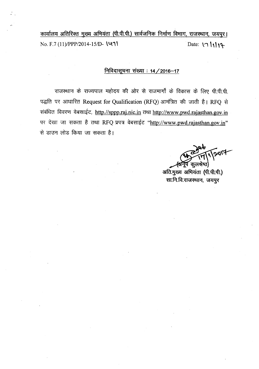<u>कार्यालय अतिरिक्त मुख्य अभियंता (पी.पी.पी.) सार्वजनिक निर्माण विभाग, राजस्थान, जयपुर।</u> No. F.7 *(11)IPPP/2014-151D-* \~1' Date: \'1 ", \'"

### निविदासूचना संख्या : 14 / 2016-17

राजस्थान के राज्यपाल महोदय की ओर से राजमार्गो के विकास के लिए पी.पी.पी. पद्धति पर आधारित Request for Qualification (RFQ) आमंत्रित की जाती है। RFQ से संबंधित विवरण वेबसाईट, http.//sppp.raj.nic.in तथा http://www.pwd.rajasthan.gov.in पर देखा जा सकता है तथा RFQ प्रपत्र वेबसाईट "http://www.pwd.rajasthan.gov.in" से डाउन लोड किया जा सकता है।

polit ंकूलश्रेष्ठ)

अति.मुख्य अभियंता (पी.पी.पी.) सा.नि.वि.राजस्थान, जयपुर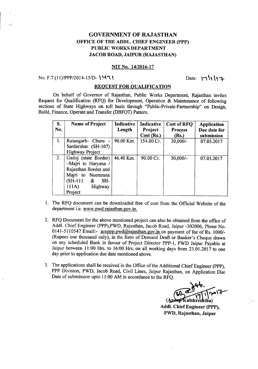### GOVERNMENT OF RAJASTHAN OFFICE OF THE ADDL. CHIEF ENGINEER (PPP) PUBLIC WORKS DEPARTMENT JACOB ROAD, JAIPUR (RAJASTHAN)

#### NIT No. *14/2016-17*

#### No. F.7 (11)/PPP/2014-15/D- $\sqrt{4\,1}$

Date:  $\| \cdot \| \cdot \|_1$ 

#### REQUEST FOR QUALIFICATION

On behalf of Governor of Rajasthan, Public Works Department, Rajasthan invites Request for Qualification (RFQ) for Development, Operation & Maintenance of following sections of State Highways on toll basis through "Public-Private-Partnership" on Design, Build, Finance, Operate and Transfer (DBFOT) Pattern.

| <b>S.</b><br>No. | <b>Name of Project</b>                                                                                                                          | Indicative<br>Length | Indicative<br>Project<br>Cost (Rs.) | Cost of RFQ<br><b>Process</b><br>(Rs.) | Application<br>Due date for<br>submission |
|------------------|-------------------------------------------------------------------------------------------------------------------------------------------------|----------------------|-------------------------------------|----------------------------------------|-------------------------------------------|
| 1.               | Ratangarh- Churu -<br>Sardarshar (SH-107)<br><b>Highway Project</b>                                                                             | 90.00 Km.            | 154.00 Cr.                          | $30,000/-$                             | 07.03.2017                                |
| 2.               | Gadoj (state Border)<br>-Majri to Haryana<br>Rajasthan Border and<br>Majri to Neemrana<br>$(SH-111)$<br>SH-<br>&<br>111A)<br>Highway<br>Project | 46.40 Km.            | 90.00 Cr.                           | $30,000/-$                             | 07.03.2017                                |

- 1. The RFQ document can be downloaded free of cost from the Official Website of the department i.e. www.pwd.rajasthan.gov.in.
- 2. RFQ Document for the above mentioned project can also be obtained from the office of Addl. Chief Engineer (PPP),PWD, Rajasthan, Jacob Road, Jaipur -302006, Phone No. 0141-5110547 Email:- aceppp.pwd@rajasthan.gov.in on payment of fee of Rs. 1000/-(Rupees one thousand only), in the form of Demand Draft or Banker's Cheque drawn on any scheduled Bank in favour of Project Director PPP-I, PWD Jaipur Payable at Jaipur between 11:00 Hrs. to 16:00 Hrs, on all working days from 23.01.2017 to one day prior to application due date mentioned above.
- 3. The applications shall be received in the Office of the Additional Chief Engineer (PPP), PPP Division, PWD, Jacob Road, Civil Lines, Jaipur Rajasthan, on Application Due Date of submission upto 11:00 AM in accordance to the RFQ.

(Ander Kulshreshtha) Addl. Chief Engineer (PPP). PWD, Rajasthan, Jaipur